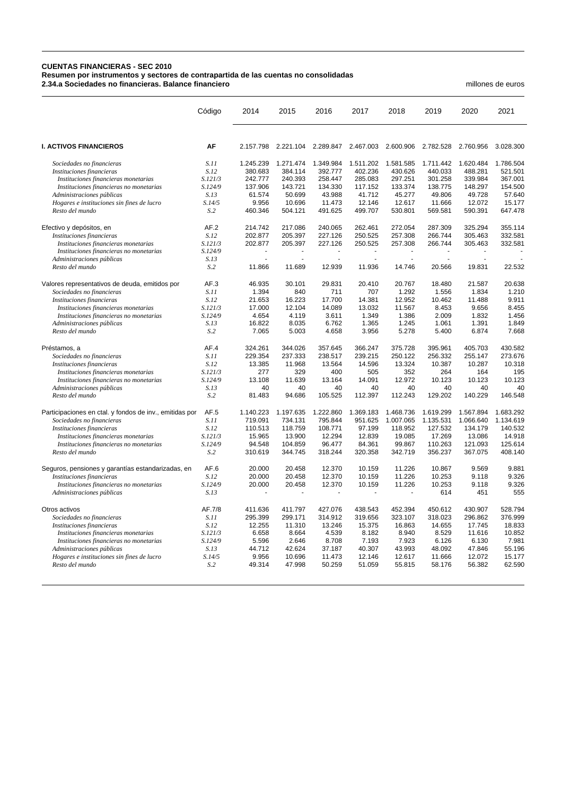## **CUENTAS FINANCIERAS - SEC 2010 Resumen por instrumentos y sectores de contrapartida de las cuentas no consolidadas 2.34.a Sociedades no financieras. Balance financiero** millones de euros

|                                                         | Código         | 2014      | 2015      | 2016      | 2017      | 2018      | 2019      | 2020      | 2021      |
|---------------------------------------------------------|----------------|-----------|-----------|-----------|-----------|-----------|-----------|-----------|-----------|
| <b>I. ACTIVOS FINANCIEROS</b>                           | AF             | 2.157.798 | 2.221.104 | 2.289.847 | 2.467.003 | 2.600.906 | 2.782.528 | 2.760.956 | 3.028.300 |
| Sociedades no financieras                               | S.11           | 1.245.239 | 1.271.474 | 1.349.984 | 1.511.202 | 1.581.585 | 1.711.442 | 1.620.484 | 1.786.504 |
| Instituciones financieras                               | S.12           | 380.683   | 384.114   | 392.777   | 402.236   | 430.626   | 440.033   | 488.281   | 521.501   |
| Instituciones financieras monetarias                    | S.121/3        | 242.777   | 240.393   | 258.447   | 285.083   | 297.251   | 301.258   | 339.984   | 367.001   |
| Instituciones financieras no monetarias                 | S.124/9        | 137.906   | 143.721   | 134.330   | 117.152   | 133.374   | 138.775   | 148.297   | 154.500   |
| Administraciones públicas                               | S.13           | 61.574    | 50.699    | 43.988    | 41.712    | 45.277    | 49.806    | 49.728    | 57.640    |
| Hogares e instituciones sin fines de lucro              | S.14/5         | 9.956     | 10.696    | 11.473    | 12.146    | 12.617    | 11.666    | 12.072    | 15.177    |
| Resto del mundo                                         | S.2            | 460.346   | 504.121   | 491.625   | 499.707   | 530.801   | 569.581   | 590.391   | 647.478   |
| Efectivo y depósitos, en                                | AF.2           | 214.742   | 217.086   | 240.065   | 262.461   | 272.054   | 287.309   | 325.294   | 355.114   |
| Instituciones financieras                               | S.12           | 202.877   | 205.397   | 227.126   | 250.525   | 257.308   | 266.744   | 305.463   | 332.581   |
| Instituciones financieras monetarias                    | S.121/3        | 202.877   | 205.397   | 227.126   | 250.525   | 257.308   | 266.744   | 305.463   | 332.581   |
| Instituciones financieras no monetarias                 | S.124/9        |           |           |           |           |           |           |           |           |
| Administraciones públicas                               | S.13           |           |           |           |           |           |           |           |           |
| Resto del mundo                                         | S <sub>2</sub> | 11.866    | 11.689    | 12.939    | 11.936    | 14.746    | 20.566    | 19.831    | 22.532    |
| Valores representativos de deuda, emitidos por          | AF.3           | 46.935    | 30.101    | 29.831    | 20.410    | 20.767    | 18.480    | 21.587    | 20.638    |
| Sociedades no financieras                               | S.11           | 1.394     | 840       | 711       | 707       | 1.292     | 1.556     | 1.834     | 1.210     |
| Instituciones financieras                               | S.12           | 21.653    | 16.223    | 17.700    | 14.381    | 12.952    | 10.462    | 11.488    | 9.911     |
| Instituciones financieras monetarias                    | S.121/3        | 17.000    | 12.104    | 14.089    | 13.032    | 11.567    | 8.453     | 9.656     | 8.455     |
| Instituciones financieras no monetarias                 | S.124/9        | 4.654     | 4.119     | 3.611     | 1.349     | 1.386     | 2.009     | 1.832     | 1.456     |
| Administraciones públicas                               | S.13           | 16.822    | 8.035     | 6.762     | 1.365     | 1.245     | 1.061     | 1.391     | 1.849     |
| Resto del mundo                                         | S.2            | 7.065     | 5.003     | 4.658     | 3.956     | 5.278     | 5.400     | 6.874     | 7.668     |
| Préstamos, a                                            | AF.4           | 324.261   | 344.026   | 357.645   | 366.247   | 375.728   | 395.961   | 405.703   | 430.582   |
| Sociedades no financieras                               | S.11           | 229.354   | 237.333   | 238.517   | 239.215   | 250.122   | 256.332   | 255.147   | 273.676   |
| Instituciones financieras                               | S.12           | 13.385    | 11.968    | 13.564    | 14.596    | 13.324    | 10.387    | 10.287    | 10.318    |
| Instituciones financieras monetarias                    | S.121/3        | 277       | 329       | 400       | 505       | 352       | 264       | 164       | 195       |
| Instituciones financieras no monetarias                 | S.124/9        | 13.108    | 11.639    | 13.164    | 14.091    | 12.972    | 10.123    | 10.123    | 10.123    |
| Administraciones públicas                               | S.13           | 40        | 40        | 40        | 40        | 40        | 40        | 40        | 40        |
| Resto del mundo                                         | S.2            | 81.483    | 94.686    | 105.525   | 112.397   | 112.243   | 129.202   | 140.229   | 146.548   |
| Participaciones en ctal. y fondos de inv., emitidas por | AF.5           | 1.140.223 | 1.197.635 | 1.222.860 | 1.369.183 | 1.468.736 | 1.619.299 | 1.567.894 | 1.683.292 |
| Sociedades no financieras                               | S.11           | 719.091   | 734.131   | 795.844   | 951.625   | 1.007.065 | 1.135.531 | 1.066.640 | 1.134.619 |
| Instituciones financieras                               | S.12           | 110.513   | 118.759   | 108.771   | 97.199    | 118.952   | 127.532   | 134.179   | 140.532   |
| Instituciones financieras monetarias                    | S.121/3        | 15.965    | 13.900    | 12.294    | 12.839    | 19.085    | 17.269    | 13.086    | 14.918    |
| Instituciones financieras no monetarias                 | S.124/9        | 94.548    | 104.859   | 96.477    | 84.361    | 99.867    | 110.263   | 121.093   | 125.614   |
| Resto del mundo                                         | S.2            | 310.619   | 344.745   | 318.244   | 320.358   | 342.719   | 356.237   | 367.075   | 408.140   |
| Seguros, pensiones y garantías estandarizadas, en       | AF.6           | 20.000    | 20.458    | 12.370    | 10.159    | 11.226    | 10.867    | 9.569     | 9.881     |
| Instituciones financieras                               | S.12           | 20.000    | 20.458    | 12.370    | 10.159    | 11.226    | 10.253    | 9.118     | 9.326     |
| Instituciones financieras no monetarias                 | S.124/9        | 20.000    | 20.458    | 12.370    | 10.159    | 11.226    | 10.253    | 9.118     | 9.326     |
| Administraciones públicas                               | S.13           | $\sim$    |           | ÷.        | ÷.        | $\sim$    | 614       | 451       | 555       |
| Otros activos                                           | AF.7/8         | 411.636   | 411.797   | 427.076   | 438.543   | 452.394   | 450.612   | 430.907   | 528.794   |
| Sociedades no financieras                               | S.11           | 295.399   | 299.171   | 314.912   | 319.656   | 323.107   | 318.023   | 296.862   | 376.999   |
| Instituciones financieras                               | S.12           | 12.255    | 11.310    | 13.246    | 15.375    | 16.863    | 14.655    | 17.745    | 18.833    |
| Instituciones financieras monetarias                    | S.121/3        | 6.658     | 8.664     | 4.539     | 8.182     | 8.940     | 8.529     | 11.616    | 10.852    |
| Instituciones financieras no monetarias                 | S.124/9        | 5.596     | 2.646     | 8.708     | 7.193     | 7.923     | 6.126     | 6.130     | 7.981     |
| Administraciones públicas                               | S.13           | 44.712    | 42.624    | 37.187    | 40.307    | 43.993    | 48.092    | 47.846    | 55.196    |
| Hogares e instituciones sin fines de lucro              | S.14/5         | 9.956     | 10.696    | 11.473    | 12.146    | 12.617    | 11.666    | 12.072    | 15.177    |
| Resto del mundo                                         | S.2            | 49.314    | 47.998    | 50.259    | 51.059    | 55.815    | 58.176    | 56.382    | 62.590    |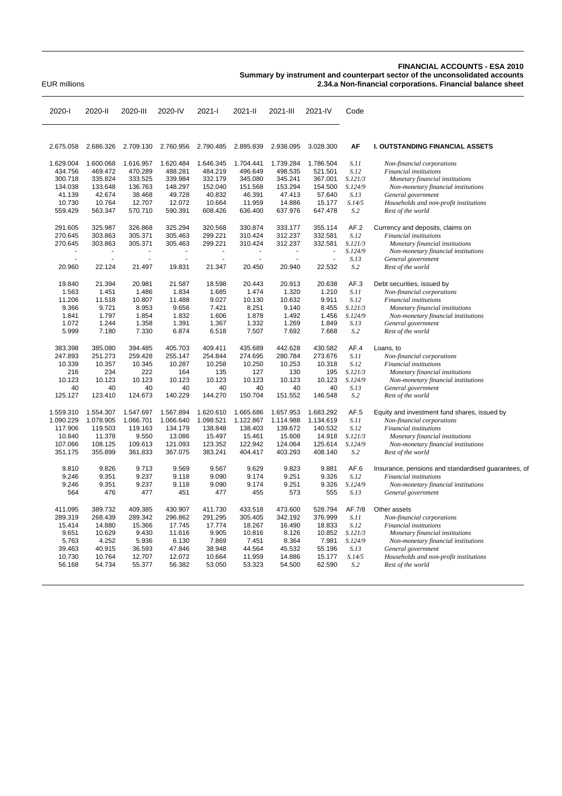## **FINANCIAL ACCOUNTS - ESA 2010**

**Summary by instrument and counterpart sector of the unconsolidated accounts** EUR millions **2.34.a Non-financial corporations. Financial balance sheet**

| 2020-l          | 2020-II          | 2020-III        | 2020-IV          | 2021-l          | 2021-II          | 2021-III        | 2021-IV                             | Code               |                                                                        |
|-----------------|------------------|-----------------|------------------|-----------------|------------------|-----------------|-------------------------------------|--------------------|------------------------------------------------------------------------|
| 2.675.058       | 2.686.326        | 2.709.130       | 2.760.956        | 2.790.485       | 2.895.839        | 2.938.095       | 3.028.300                           | AF                 | <b>I. OUTSTANDING FINANCIAL ASSETS</b>                                 |
| 1.629.004       | 1.600.068        | 1.616.957       | 1.620.484        | 1.646.345       | 1.704.441        | 1.739.284       | 1.786.504                           | S.11               | Non-financial corporations                                             |
| 434.756         | 469.472          | 470.289         | 488.281          | 484.219         | 496.649          | 498.535         | 521.501                             | S.12               | Financial institutions                                                 |
| 300.718         | 335.824          | 333.525         | 339.984          | 332.179         | 345.080          | 345.241         | 367.001                             | S.121/3            | Monetary financial institutions                                        |
| 134.038         | 133.648          | 136.763         | 148.297          | 152.040         | 151.568          | 153.294         | 154.500                             | S.124/9            | Non-monetary financial institutions                                    |
| 41.139          | 42.674           | 38.468          | 49.728           | 40.832          | 46.391           | 47.413          | 57.640                              | S.13               | General government                                                     |
| 10.730          | 10.764           | 12.707          | 12.072           | 10.664          | 11.959           | 14.886          | 15.177                              | S.14/5             | Households and non-profit institutions                                 |
| 559.429         | 563.347          | 570.710         | 590.391          | 608.426         | 636.400          | 637.976         | 647.478                             | S.2                | Rest of the world                                                      |
| 291.605         | 325.987          | 326.868         | 325.294          | 320.568         | 330.874          | 333.177         | 355.114                             | AF.2               | Currency and deposits, claims on                                       |
| 270.645         | 303.863          | 305.371         | 305.463          | 299.221         | 310.424          | 312.237         | 332.581                             | S.12               | Financial institutions                                                 |
| 270.645         | 303.863          | 305.371         | 305.463          | 299.221         | 310.424          | 312.237         | 332.581<br>$\overline{\phantom{a}}$ | S.121/3<br>S.124/9 | Monetary financial institutions<br>Non-monetary financial institutions |
|                 |                  |                 |                  |                 |                  |                 |                                     | S.13               | General government                                                     |
| 20.960          | 22.124           | 21.497          | 19.831           | 21.347          | 20.450           | 20.940          | 22.532                              | S.2                | Rest of the world                                                      |
| 19.840          | 21.394           | 20.981          | 21.587           | 18.598          | 20.443           | 20.913          | 20.638                              | AF.3               | Debt securities, issued by                                             |
| 1.563           | 1.451            | 1.486           | 1.834            | 1.685           | 1.474            | 1.320           | 1.210                               | S.11               | Non-financial corporations                                             |
| 11.206          | 11.518           | 10.807          | 11.488           | 9.027           | 10.130           | 10.632          | 9.911                               | S.12               | Financial institutions                                                 |
| 9.366           | 9.721            | 8.953           | 9.656            | 7.421           | 8.251            | 9.140           | 8.455                               | S.121/3            | Monetary financial institutions                                        |
| 1.841           | 1.797            | 1.854           | 1.832            | 1.606           | 1.878            | 1.492           | 1.456                               | S.124/9            | Non-monetary financial institutions                                    |
| 1.072           | 1.244            | 1.358           | 1.391            | 1.367           | 1.332            | 1.269           | 1.849                               | S.13               | General government                                                     |
| 5.999           | 7.180            | 7.330           | 6.874            | 6.518           | 7.507            | 7.692           | 7.668                               | S.2                | Rest of the world                                                      |
| 383.398         | 385.080          | 394.485         | 405.703          | 409.411         | 435.689          | 442.628         | 430.582                             | AF.4               | Loans, to                                                              |
| 247.893         | 251.273          | 259.428         | 255.147          | 254.844         | 274.695          | 280.784         | 273.676                             | S.11               | Non-financial corporations                                             |
| 10.339<br>216   | 10.357<br>234    | 10.345<br>222   | 10.287<br>164    | 10.258<br>135   | 10.250<br>127    | 10.253<br>130   | 10.318<br>195                       | S.12<br>S.121/3    | Financial institutions                                                 |
| 10.123          | 10.123           | 10.123          | 10.123           | 10.123          | 10.123           | 10.123          | 10.123                              | S.124/9            | Monetary financial institutions<br>Non-monetary financial institutions |
| 40              | 40               | 40              | 40               | 40              | 40               | 40              | 40                                  | S.13               | General government                                                     |
| 125.127         | 123.410          | 124.673         | 140.229          | 144.270         | 150.704          | 151.552         | 146.548                             | S.2                | Rest of the world                                                      |
| 1.559.310       | 1.554.307        | 1.547.697       | 1.567.894        | 1.620.610       | 1.665.686        | 1.657.953       | 1.683.292                           | AF.5               | Equity and investment fund shares, issued by                           |
| 1.090.229       | 1.078.905        | 1.066.701       | 1.066.640        | 1.098.521       | 1.122.867        | 1.114.988       | 1.134.619                           | S.11               | Non-financial corporations                                             |
| 117.906         | 119.503          | 119.163         | 134.179          | 138.848         | 138.403          | 139.672         | 140.532                             | S.12               | Financial institutions                                                 |
| 10.840          | 11.378           | 9.550           | 13.086           | 15.497          | 15.461           | 15.608          | 14.918                              | S.121/3            | Monetary financial institutions                                        |
| 107.066         | 108.125          | 109.613         | 121.093          | 123.352         | 122.942          | 124.064         | 125.614                             | S.124/9            | Non-monetary financial institutions                                    |
| 351.175         | 355.899          | 361.833         | 367.075          | 383.241         | 404.417          | 403.293         | 408.140                             | S.2                | Rest of the world                                                      |
| 9.810           | 9.826            | 9.713           | 9.569            | 9.567           | 9.629            | 9.823           | 9.881                               | AF.6               | Insurance, pensions and standardised guarantees, of                    |
| 9.246           | 9.351            | 9.237           | 9.118            | 9.090           | 9.174            | 9.251           | 9.326                               | S.12               | Financial institutions                                                 |
| 9.246<br>564    | 9.351<br>476     | 9.237<br>477    | 9.118<br>451     | 9.090<br>477    | 9.174<br>455     | 9.251<br>573    | 9.326<br>555                        | S.124/9<br>S.13    | Non-monetary financial institutions                                    |
|                 |                  |                 |                  |                 |                  |                 |                                     |                    | General government                                                     |
| 411.095         | 389.732          | 409.385         | 430.907          | 411.730         | 433.518          | 473.600         | 528.794                             | AF.7/8             | Other assets                                                           |
| 289.319         | 268.439          | 289.342         | 296.862          | 291.295         | 305.405          | 342.192         | 376.999                             | S.11               | Non-financial corporations                                             |
| 15.414<br>9.651 | 14.880<br>10.629 | 15.366<br>9.430 | 17.745<br>11.616 | 17.774<br>9.905 | 18.267<br>10.816 | 16.490<br>8.126 | 18.833<br>10.852                    | S.12<br>S.121/3    | Financial institutions                                                 |
| 5.763           | 4.252            | 5.936           | 6.130            | 7.869           | 7.451            | 8.364           | 7.981                               | S.124/9            | Monetary financial institutions<br>Non-monetary financial institutions |
| 39.463          | 40.915           | 36.593          | 47.846           | 38.948          | 44.564           | 45.532          | 55.196                              | S.13               | General government                                                     |
| 10.730          | 10.764           | 12.707          | 12.072           | 10.664          | 11.959           | 14.886          | 15.177                              | S.14/5             | Households and non-profit institutions                                 |
| 56.168          | 54.734           | 55.377          | 56.382           | 53.050          | 53.323           | 54.500          | 62.590                              | S <sub>2</sub>     | Rest of the world                                                      |
|                 |                  |                 |                  |                 |                  |                 |                                     |                    |                                                                        |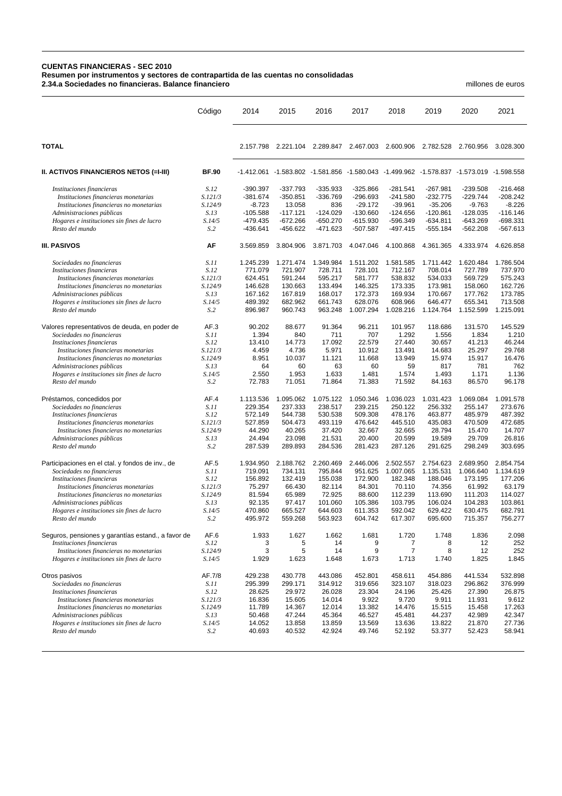## **CUENTAS FINANCIERAS - SEC 2010 Resumen por instrumentos y sectores de contrapartida de las cuentas no consolidadas 2.34.a Sociedades no financieras. Balance financiero** millones de euros

|                                                               | Código         | 2014               | 2015              | 2016               | 2017               | 2018                | 2019               | 2020                                                                                    | 2021               |
|---------------------------------------------------------------|----------------|--------------------|-------------------|--------------------|--------------------|---------------------|--------------------|-----------------------------------------------------------------------------------------|--------------------|
| <b>TOTAL</b>                                                  |                | 2.157.798          | 2.221.104         | 2.289.847          |                    | 2.467.003 2.600.906 | 2.782.528          | 2.760.956                                                                               | 3.028.300          |
| II. ACTIVOS FINANCIEROS NETOS (=I-III)                        | <b>BF.90</b>   |                    |                   |                    |                    |                     |                    | -1.412.061 -1.583.802 -1.581.856 -1.580.043 -1.499.962 -1.578.837 -1.573.019 -1.598.558 |                    |
| Instituciones financieras                                     | S.12           | $-390.397$         | $-337.793$        | $-335.933$         | $-325.866$         | $-281.541$          | -267.981           | $-239.508$                                                                              | $-216.468$         |
| Instituciones financieras monetarias                          | S.121/3        | $-381.674$         | $-350.851$        | -336.769           | $-296.693$         | $-241.580$          | $-232.775$         | $-229.744$                                                                              | $-208.242$         |
| Instituciones financieras no monetarias                       | S.124/9        | -8.723             | 13.058            | 836                | $-29.172$          | $-39.961$           | $-35.206$          | $-9.763$                                                                                | $-8.226$           |
| Administraciones públicas                                     | S.13           | $-105.588$         | $-117.121$        | $-124.029$         | $-130.660$         | $-124.656$          | $-120.861$         | $-128.035$                                                                              | $-116.146$         |
| Hogares e instituciones sin fines de lucro                    | S.14/5         | $-479.435$         | $-672.266$        | $-650.270$         | $-615.930$         | -596.349            | $-634.811$         | $-643.269$                                                                              | $-698.331$         |
| Resto del mundo                                               | S.2            | $-436.641$         | $-456.622$        | $-471.623$         | $-507.587$         | $-497.415$          | $-555.184$         | $-562.208$                                                                              | $-567.613$         |
| <b>III. PASIVOS</b>                                           | AF             | 3.569.859          | 3.804.906         | 3.871.703          | 4.047.046          | 4.100.868           | 4.361.365          | 4.333.974                                                                               | 4.626.858          |
| Sociedades no financieras                                     | S.11           | 1.245.239          | 1.271.474         | 1.349.984          | 1.511.202          | 1.581.585           | 1.711.442          | 1.620.484                                                                               | 1.786.504          |
| Instituciones financieras                                     | S.12           | 771.079            | 721.907           | 728.711            | 728.101            | 712.167             | 708.014            | 727.789                                                                                 | 737.970            |
| Instituciones financieras monetarias                          | S.121/3        | 624.451            | 591.244           | 595.217            | 581.777            | 538.832             | 534.033            | 569.729                                                                                 | 575.243            |
| Instituciones financieras no monetarias                       | S.124/9        | 146.628            | 130.663           | 133.494            | 146.325            | 173.335             | 173.981            | 158.060                                                                                 | 162.726            |
| Administraciones públicas                                     | S.13           | 167.162            | 167.819           | 168.017            | 172.373            | 169.934             | 170.667            | 177.762                                                                                 | 173.785            |
| Hogares e instituciones sin fines de lucro                    | S.14/5         | 489.392            | 682.962           | 661.743            | 628.076            | 608.966             | 646.477            | 655.341                                                                                 | 713.508            |
| Resto del mundo                                               | S <sub>0</sub> | 896.987            | 960.743           | 963.248            | 1.007.294          | 1.028.216           | 1.124.764          | 1.152.599                                                                               | 1.215.091          |
| Valores representativos de deuda, en poder de                 | AF.3           | 90.202             | 88.677            | 91.364             | 96.211             | 101.957             | 118.686            | 131.570                                                                                 | 145.529            |
| Sociedades no financieras                                     | S.11           | 1.394              | 840               | 711                | 707                | 1.292               | 1.556              | 1.834                                                                                   | 1.210              |
| Instituciones financieras                                     | S.12           | 13.410             | 14.773            | 17.092             | 22.579             | 27.440              | 30.657             | 41.213                                                                                  | 46.244             |
| Instituciones financieras monetarias                          | S.121/3        | 4.459              | 4.736             | 5.971              | 10.912             | 13.491              | 14.683             | 25.297                                                                                  | 29.768             |
| Instituciones financieras no monetarias                       | S.124/9        | 8.951              | 10.037            | 11.121             | 11.668             | 13.949              | 15.974             | 15.917                                                                                  | 16.476             |
| Administraciones públicas                                     | S.13           | 64                 | 60                | 63                 | 60                 | 59                  | 817                | 781                                                                                     | 762                |
| Hogares e instituciones sin fines de lucro<br>Resto del mundo | S.14/5<br>S.2  | 2.550<br>72.783    | 1.953<br>71.051   | 1.633<br>71.864    | 1.481<br>71.383    | 1.574<br>71.592     | 1.493<br>84.163    | 1.171<br>86.570                                                                         | 1.136<br>96.178    |
| Préstamos, concedidos por                                     | AF.4           | 1.113.536          | 1.095.062         | 1.075.122          | 1.050.346          | 1.036.023           | 1.031.423          | 1.069.084                                                                               | 1.091.578          |
| Sociedades no financieras                                     | S.11           | 229.354            | 237.333           | 238.517            | 239.215            | 250.122             | 256.332            | 255.147                                                                                 | 273.676            |
| Instituciones financieras                                     | S.12           | 572.149            | 544.738           | 530.538            | 509.308            | 478.176             | 463.877            | 485.979                                                                                 | 487.392            |
| Instituciones financieras monetarias                          | S.121/3        | 527.859            | 504.473           | 493.119            | 476.642            | 445.510             | 435.083            | 470.509                                                                                 | 472.685            |
| Instituciones financieras no monetarias                       | S.124/9        | 44.290             | 40.265            | 37.420             | 32.667             | 32.665              | 28.794             | 15.470                                                                                  | 14.707             |
| Administraciones públicas                                     | S.13           | 24.494             | 23.098            | 21.531             | 20.400             | 20.599              | 19.589             | 29.709                                                                                  | 26.816             |
| Resto del mundo                                               | $S0$ .2        | 287.539            | 289.893           | 284.536            | 281.423            | 287.126             | 291.625            | 298.249                                                                                 | 303.695            |
| Participaciones en el ctal. y fondos de inv., de              | AF.5           | 1.934.950          | 2.188.762         | 2.260.469          | 2.446.006          | 2.502.557           | 2.754.623          | 2.689.950                                                                               | 2.854.754          |
| Sociedades no financieras                                     | S.11           | 719.091            | 734.131           | 795.844            | 951.625            | 1.007.065           | 1.135.531          | 1.066.640                                                                               | 1.134.619          |
| Instituciones financieras                                     | S.12           | 156.892            | 132.419           | 155.038            | 172.900            | 182.348             | 188.046            | 173.195                                                                                 | 177.206            |
| Instituciones financieras monetarias                          | S.121/3        | 75.297             | 66.430            | 82.114             | 84.301             | 70.110              | 74.356             | 61.992                                                                                  | 63.179             |
| Instituciones financieras no monetarias                       | S.124/9        | 81.594             | 65.989            | 72.925             | 88.600             | 112.239             | 113.690            | 111.203                                                                                 | 114.027            |
| Administraciones públicas                                     | S.13           | 92.135             | 97.417<br>665.527 | 101.060<br>644.603 | 105.386            | 103.795             | 106.024            | 104.283                                                                                 | 103.861<br>682.791 |
| Hogares e instituciones sin fines de lucro<br>Resto del mundo | S.14/5<br>S.2  | 470.860<br>495.972 | 559.268           | 563.923            | 611.353<br>604.742 | 592.042<br>617.307  | 629.422<br>695.600 | 630.475<br>715.357                                                                      | 756.277            |
|                                                               |                |                    |                   |                    |                    |                     |                    |                                                                                         |                    |
| Seguros, pensiones y garantías estand., a favor de            | AF.6           | 1.933              | 1.627             | 1.662              | 1.681              | 1.720               | 1.748              | 1.836                                                                                   | 2.098              |
| Instituciones financieras                                     | S.12           | 3                  | 5                 | 14                 | 9                  | 7                   | 8                  | 12                                                                                      | 252                |
| Instituciones financieras no monetarias                       | S.124/9        | 3                  | 5                 | 14                 | 9                  | 7                   | 8                  | 12                                                                                      | 252                |
| Hogares e instituciones sin fines de lucro                    | S.14/5         | 1.929              | 1.623             | 1.648              | 1.673              | 1.713               | 1.740              | 1.825                                                                                   | 1.845              |
| Otros pasivos                                                 | AF.7/8         | 429.238            | 430.778           | 443.086            | 452.801            | 458.611             | 454.886            | 441.534                                                                                 | 532.898            |
| Sociedades no financieras                                     | S.11           | 295.399            | 299.171           | 314.912            | 319.656            | 323.107             | 318.023            | 296.862                                                                                 | 376.999            |
| Instituciones financieras                                     | S.12           | 28.625             | 29.972            | 26.028             | 23.304             | 24.196              | 25.426             | 27.390                                                                                  | 26.875             |
| Instituciones financieras monetarias                          | S.121/3        | 16.836             | 15.605            | 14.014             | 9.922              | 9.720               | 9.911              | 11.931                                                                                  | 9.612              |
| Instituciones financieras no monetarias                       | S.124/9        | 11.789             | 14.367            | 12.014             | 13.382             | 14.476              | 15.515             | 15.458                                                                                  | 17.263             |
| Administraciones públicas                                     | S.13           | 50.468             | 47.244            | 45.364             | 46.527             | 45.481              | 44.237             | 42.989                                                                                  | 42.347             |
| Hogares e instituciones sin fines de lucro                    | S.14/5         | 14.052             | 13.858            | 13.859             | 13.569             | 13.636              | 13.822             | 21.870                                                                                  | 27.736             |
| Resto del mundo                                               | S.2            | 40.693             | 40.532            | 42.924             | 49.746             | 52.192              | 53.377             | 52.423                                                                                  | 58.941             |